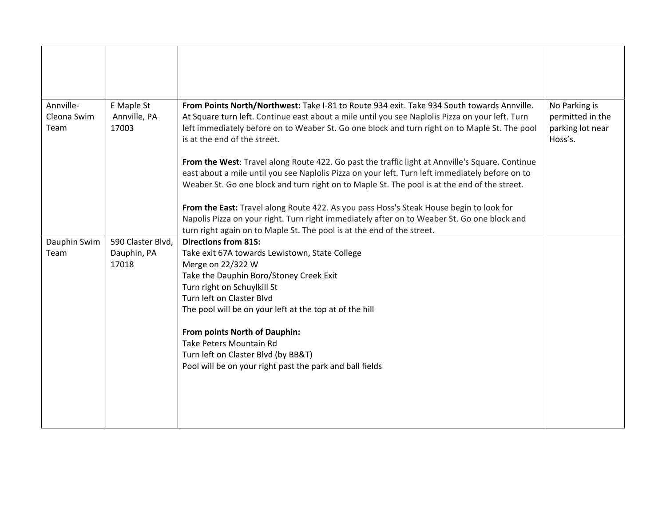| Annville-           | E Maple St            | From Points North/Northwest: Take I-81 to Route 934 exit. Take 934 South towards Annville.                                                                                                                                                                                                         | No Parking is                                   |
|---------------------|-----------------------|----------------------------------------------------------------------------------------------------------------------------------------------------------------------------------------------------------------------------------------------------------------------------------------------------|-------------------------------------------------|
| Cleona Swim<br>Team | Annville, PA<br>17003 | At Square turn left. Continue east about a mile until you see Naplolis Pizza on your left. Turn<br>left immediately before on to Weaber St. Go one block and turn right on to Maple St. The pool<br>is at the end of the street.                                                                   | permitted in the<br>parking lot near<br>Hoss's. |
|                     |                       | From the West: Travel along Route 422. Go past the traffic light at Annville's Square. Continue<br>east about a mile until you see Naplolis Pizza on your left. Turn left immediately before on to<br>Weaber St. Go one block and turn right on to Maple St. The pool is at the end of the street. |                                                 |
|                     |                       | From the East: Travel along Route 422. As you pass Hoss's Steak House begin to look for<br>Napolis Pizza on your right. Turn right immediately after on to Weaber St. Go one block and<br>turn right again on to Maple St. The pool is at the end of the street.                                   |                                                 |
| Dauphin Swim        | 590 Claster Blvd,     | <b>Directions from 81S:</b>                                                                                                                                                                                                                                                                        |                                                 |
| Team                | Dauphin, PA           | Take exit 67A towards Lewistown, State College                                                                                                                                                                                                                                                     |                                                 |
|                     | 17018                 | Merge on 22/322 W                                                                                                                                                                                                                                                                                  |                                                 |
|                     |                       | Take the Dauphin Boro/Stoney Creek Exit                                                                                                                                                                                                                                                            |                                                 |
|                     |                       | Turn right on Schuylkill St                                                                                                                                                                                                                                                                        |                                                 |
|                     |                       | Turn left on Claster Blvd                                                                                                                                                                                                                                                                          |                                                 |
|                     |                       | The pool will be on your left at the top at of the hill                                                                                                                                                                                                                                            |                                                 |
|                     |                       | From points North of Dauphin:                                                                                                                                                                                                                                                                      |                                                 |
|                     |                       | Take Peters Mountain Rd                                                                                                                                                                                                                                                                            |                                                 |
|                     |                       | Turn left on Claster Blvd (by BB&T)                                                                                                                                                                                                                                                                |                                                 |
|                     |                       | Pool will be on your right past the park and ball fields                                                                                                                                                                                                                                           |                                                 |
|                     |                       |                                                                                                                                                                                                                                                                                                    |                                                 |
|                     |                       |                                                                                                                                                                                                                                                                                                    |                                                 |
|                     |                       |                                                                                                                                                                                                                                                                                                    |                                                 |
|                     |                       |                                                                                                                                                                                                                                                                                                    |                                                 |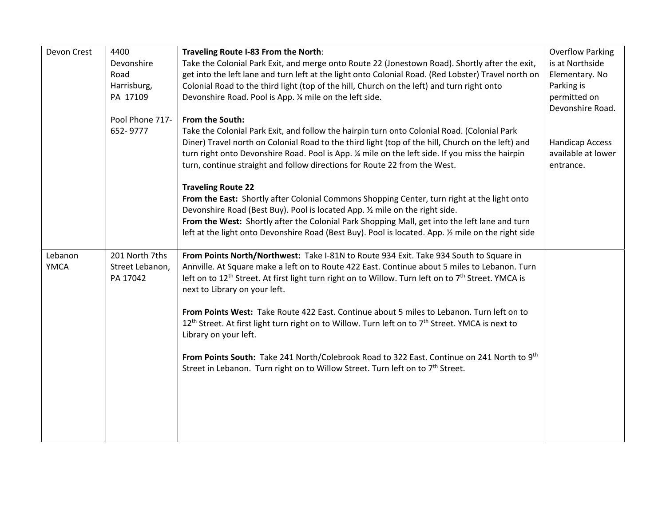| Devon Crest | 4400            | Traveling Route I-83 From the North:                                                                                        | <b>Overflow Parking</b> |
|-------------|-----------------|-----------------------------------------------------------------------------------------------------------------------------|-------------------------|
|             | Devonshire      | Take the Colonial Park Exit, and merge onto Route 22 (Jonestown Road). Shortly after the exit,                              | is at Northside         |
|             | Road            | get into the left lane and turn left at the light onto Colonial Road. (Red Lobster) Travel north on                         | Elementary. No          |
|             | Harrisburg,     | Colonial Road to the third light (top of the hill, Church on the left) and turn right onto                                  | Parking is              |
|             | PA 17109        | Devonshire Road. Pool is App. 1/4 mile on the left side.                                                                    | permitted on            |
|             |                 |                                                                                                                             | Devonshire Road.        |
|             | Pool Phone 717- | From the South:                                                                                                             |                         |
|             | 652-9777        | Take the Colonial Park Exit, and follow the hairpin turn onto Colonial Road. (Colonial Park                                 |                         |
|             |                 | Diner) Travel north on Colonial Road to the third light (top of the hill, Church on the left) and                           | <b>Handicap Access</b>  |
|             |                 | turn right onto Devonshire Road. Pool is App. 1/4 mile on the left side. If you miss the hairpin                            | available at lower      |
|             |                 | turn, continue straight and follow directions for Route 22 from the West.                                                   | entrance.               |
|             |                 |                                                                                                                             |                         |
|             |                 | <b>Traveling Route 22</b>                                                                                                   |                         |
|             |                 | From the East: Shortly after Colonial Commons Shopping Center, turn right at the light onto                                 |                         |
|             |                 | Devonshire Road (Best Buy). Pool is located App. 1/2 mile on the right side.                                                |                         |
|             |                 | From the West: Shortly after the Colonial Park Shopping Mall, get into the left lane and turn                               |                         |
|             |                 | left at the light onto Devonshire Road (Best Buy). Pool is located. App. 1/2 mile on the right side                         |                         |
|             |                 |                                                                                                                             |                         |
| Lebanon     | 201 North 7ths  | From Points North/Northwest: Take I-81N to Route 934 Exit. Take 934 South to Square in                                      |                         |
| <b>YMCA</b> | Street Lebanon, | Annville. At Square make a left on to Route 422 East. Continue about 5 miles to Lebanon. Turn                               |                         |
|             | PA 17042        | left on to 12 <sup>th</sup> Street. At first light turn right on to Willow. Turn left on to 7 <sup>th</sup> Street. YMCA is |                         |
|             |                 | next to Library on your left.                                                                                               |                         |
|             |                 |                                                                                                                             |                         |
|             |                 | From Points West: Take Route 422 East. Continue about 5 miles to Lebanon. Turn left on to                                   |                         |
|             |                 | 12 <sup>th</sup> Street. At first light turn right on to Willow. Turn left on to 7 <sup>th</sup> Street. YMCA is next to    |                         |
|             |                 | Library on your left.                                                                                                       |                         |
|             |                 |                                                                                                                             |                         |
|             |                 | From Points South: Take 241 North/Colebrook Road to 322 East. Continue on 241 North to 9th                                  |                         |
|             |                 | Street in Lebanon. Turn right on to Willow Street. Turn left on to 7 <sup>th</sup> Street.                                  |                         |
|             |                 |                                                                                                                             |                         |
|             |                 |                                                                                                                             |                         |
|             |                 |                                                                                                                             |                         |
|             |                 |                                                                                                                             |                         |
|             |                 |                                                                                                                             |                         |
|             |                 |                                                                                                                             |                         |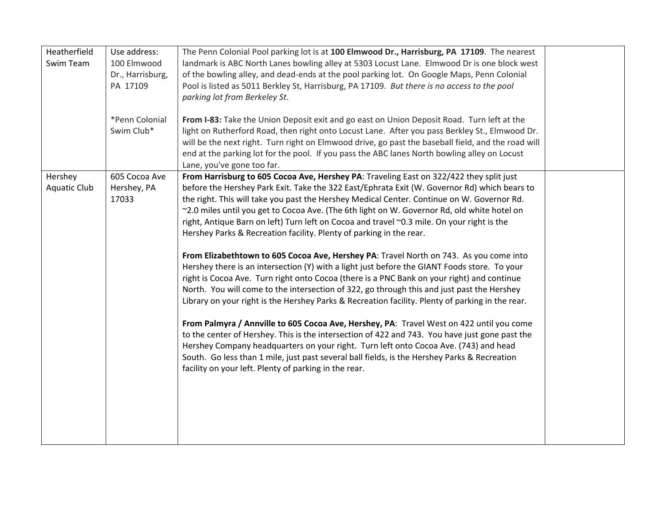| Heatherfield<br>Swim Team      | Use address:<br>100 Elmwood<br>Dr., Harrisburg, | The Penn Colonial Pool parking lot is at 100 Elmwood Dr., Harrisburg, PA 17109. The nearest<br>landmark is ABC North Lanes bowling alley at 5303 Locust Lane. Elmwood Dr is one block west<br>of the bowling alley, and dead-ends at the pool parking lot. On Google Maps, Penn Colonial                                                                                                                                                                                                                                                                                                                                                                                                                                                                                                                                                                                                                                                                                                                                                                                                                                                                                                                                                                                                                                                                                                                                                                                                           |  |
|--------------------------------|-------------------------------------------------|----------------------------------------------------------------------------------------------------------------------------------------------------------------------------------------------------------------------------------------------------------------------------------------------------------------------------------------------------------------------------------------------------------------------------------------------------------------------------------------------------------------------------------------------------------------------------------------------------------------------------------------------------------------------------------------------------------------------------------------------------------------------------------------------------------------------------------------------------------------------------------------------------------------------------------------------------------------------------------------------------------------------------------------------------------------------------------------------------------------------------------------------------------------------------------------------------------------------------------------------------------------------------------------------------------------------------------------------------------------------------------------------------------------------------------------------------------------------------------------------------|--|
|                                | PA 17109                                        | Pool is listed as 5011 Berkley St, Harrisburg, PA 17109. But there is no access to the pool<br>parking lot from Berkeley St.                                                                                                                                                                                                                                                                                                                                                                                                                                                                                                                                                                                                                                                                                                                                                                                                                                                                                                                                                                                                                                                                                                                                                                                                                                                                                                                                                                       |  |
|                                | *Penn Colonial<br>Swim Club*                    | From I-83: Take the Union Deposit exit and go east on Union Deposit Road. Turn left at the<br>light on Rutherford Road, then right onto Locust Lane. After you pass Berkley St., Elmwood Dr.<br>will be the next right. Turn right on Elmwood drive, go past the baseball field, and the road will<br>end at the parking lot for the pool. If you pass the ABC lanes North bowling alley on Locust<br>Lane, you've gone too far.                                                                                                                                                                                                                                                                                                                                                                                                                                                                                                                                                                                                                                                                                                                                                                                                                                                                                                                                                                                                                                                                   |  |
| Hershey<br><b>Aquatic Club</b> | 605 Cocoa Ave<br>Hershey, PA<br>17033           | From Harrisburg to 605 Cocoa Ave, Hershey PA: Traveling East on 322/422 they split just<br>before the Hershey Park Exit. Take the 322 East/Ephrata Exit (W. Governor Rd) which bears to<br>the right. This will take you past the Hershey Medical Center. Continue on W. Governor Rd.<br>~2.0 miles until you get to Cocoa Ave. (The 6th light on W. Governor Rd, old white hotel on<br>right, Antique Barn on left) Turn left on Cocoa and travel ~0.3 mile. On your right is the<br>Hershey Parks & Recreation facility. Plenty of parking in the rear.<br>From Elizabethtown to 605 Cocoa Ave, Hershey PA: Travel North on 743. As you come into<br>Hershey there is an intersection (Y) with a light just before the GIANT Foods store. To your<br>right is Cocoa Ave. Turn right onto Cocoa (there is a PNC Bank on your right) and continue<br>North. You will come to the intersection of 322, go through this and just past the Hershey<br>Library on your right is the Hershey Parks & Recreation facility. Plenty of parking in the rear.<br>From Palmyra / Annville to 605 Cocoa Ave, Hershey, PA: Travel West on 422 until you come<br>to the center of Hershey. This is the intersection of 422 and 743. You have just gone past the<br>Hershey Company headquarters on your right. Turn left onto Cocoa Ave. (743) and head<br>South. Go less than 1 mile, just past several ball fields, is the Hershey Parks & Recreation<br>facility on your left. Plenty of parking in the rear. |  |
|                                |                                                 |                                                                                                                                                                                                                                                                                                                                                                                                                                                                                                                                                                                                                                                                                                                                                                                                                                                                                                                                                                                                                                                                                                                                                                                                                                                                                                                                                                                                                                                                                                    |  |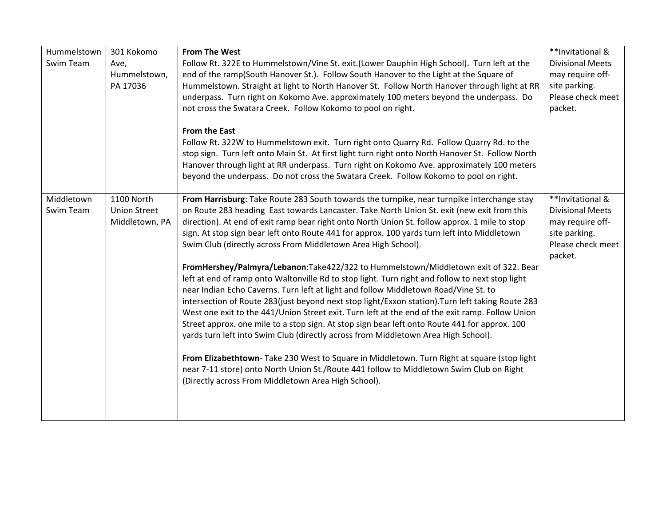| Hummelstown | 301 Kokomo          | <b>From The West</b>                                                                             | **Invitational &        |
|-------------|---------------------|--------------------------------------------------------------------------------------------------|-------------------------|
| Swim Team   | Ave,                | Follow Rt. 322E to Hummelstown/Vine St. exit.(Lower Dauphin High School). Turn left at the       | <b>Divisional Meets</b> |
|             | Hummelstown,        | end of the ramp(South Hanover St.). Follow South Hanover to the Light at the Square of           | may require off-        |
|             | PA 17036            | Hummelstown. Straight at light to North Hanover St. Follow North Hanover through light at RR     | site parking.           |
|             |                     | underpass. Turn right on Kokomo Ave. approximately 100 meters beyond the underpass. Do           | Please check meet       |
|             |                     | not cross the Swatara Creek. Follow Kokomo to pool on right.                                     | packet.                 |
|             |                     |                                                                                                  |                         |
|             |                     | <b>From the East</b>                                                                             |                         |
|             |                     | Follow Rt. 322W to Hummelstown exit. Turn right onto Quarry Rd. Follow Quarry Rd. to the         |                         |
|             |                     | stop sign. Turn left onto Main St. At first light turn right onto North Hanover St. Follow North |                         |
|             |                     | Hanover through light at RR underpass. Turn right on Kokomo Ave. approximately 100 meters        |                         |
|             |                     | beyond the underpass. Do not cross the Swatara Creek. Follow Kokomo to pool on right.            |                         |
|             |                     |                                                                                                  |                         |
| Middletown  | 1100 North          | From Harrisburg: Take Route 283 South towards the turnpike, near turnpike interchange stay       | **Invitational &        |
| Swim Team   | <b>Union Street</b> | on Route 283 heading East towards Lancaster. Take North Union St. exit (new exit from this       | <b>Divisional Meets</b> |
|             | Middletown, PA      | direction). At end of exit ramp bear right onto North Union St. follow approx. 1 mile to stop    | may require off-        |
|             |                     | sign. At stop sign bear left onto Route 441 for approx. 100 yards turn left into Middletown      | site parking.           |
|             |                     | Swim Club (directly across From Middletown Area High School).                                    | Please check meet       |
|             |                     |                                                                                                  | packet.                 |
|             |                     | FromHershey/Palmyra/Lebanon:Take422/322 to Hummelstown/Middletown exit of 322. Bear              |                         |
|             |                     | left at end of ramp onto Waltonville Rd to stop light. Turn right and follow to next stop light  |                         |
|             |                     | near Indian Echo Caverns. Turn left at light and follow Middletown Road/Vine St. to              |                         |
|             |                     | intersection of Route 283(just beyond next stop light/Exxon station). Turn left taking Route 283 |                         |
|             |                     | West one exit to the 441/Union Street exit. Turn left at the end of the exit ramp. Follow Union  |                         |
|             |                     | Street approx. one mile to a stop sign. At stop sign bear left onto Route 441 for approx. 100    |                         |
|             |                     | yards turn left into Swim Club (directly across from Middletown Area High School).               |                         |
|             |                     |                                                                                                  |                         |
|             |                     | From Elizabethtown- Take 230 West to Square in Middletown. Turn Right at square (stop light      |                         |
|             |                     | near 7-11 store) onto North Union St./Route 441 follow to Middletown Swim Club on Right          |                         |
|             |                     | (Directly across From Middletown Area High School).                                              |                         |
|             |                     |                                                                                                  |                         |
|             |                     |                                                                                                  |                         |
|             |                     |                                                                                                  |                         |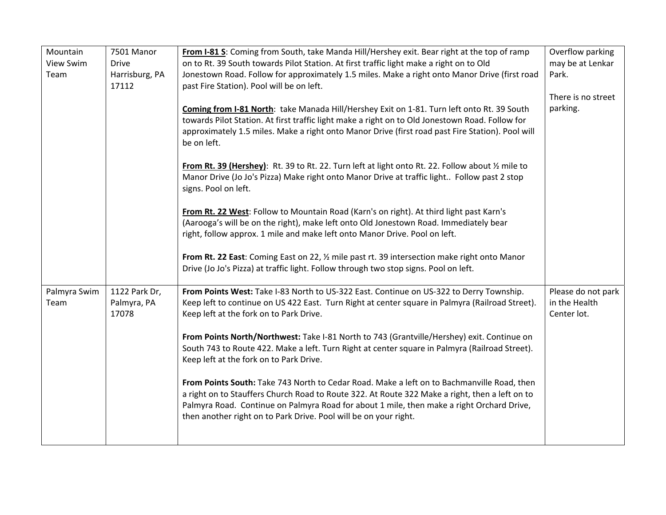| Mountain     | 7501 Manor     | From I-81 S: Coming from South, take Manda Hill/Hershey exit. Bear right at the top of ramp       | Overflow parking   |
|--------------|----------------|---------------------------------------------------------------------------------------------------|--------------------|
| View Swim    | <b>Drive</b>   | on to Rt. 39 South towards Pilot Station. At first traffic light make a right on to Old           | may be at Lenkar   |
| Team         | Harrisburg, PA | Jonestown Road. Follow for approximately 1.5 miles. Make a right onto Manor Drive (first road     | Park.              |
|              | 17112          | past Fire Station). Pool will be on left.                                                         |                    |
|              |                |                                                                                                   | There is no street |
|              |                | Coming from I-81 North: take Manada Hill/Hershey Exit on 1-81. Turn left onto Rt. 39 South        | parking.           |
|              |                | towards Pilot Station. At first traffic light make a right on to Old Jonestown Road. Follow for   |                    |
|              |                | approximately 1.5 miles. Make a right onto Manor Drive (first road past Fire Station). Pool will  |                    |
|              |                | be on left.                                                                                       |                    |
|              |                |                                                                                                   |                    |
|              |                | From Rt. 39 (Hershey): Rt. 39 to Rt. 22. Turn left at light onto Rt. 22. Follow about 1/2 mile to |                    |
|              |                | Manor Drive (Jo Jo's Pizza) Make right onto Manor Drive at traffic light Follow past 2 stop       |                    |
|              |                | signs. Pool on left.                                                                              |                    |
|              |                | From Rt. 22 West: Follow to Mountain Road (Karn's on right). At third light past Karn's           |                    |
|              |                | (Aarooga's will be on the right), make left onto Old Jonestown Road. Immediately bear             |                    |
|              |                | right, follow approx. 1 mile and make left onto Manor Drive. Pool on left.                        |                    |
|              |                |                                                                                                   |                    |
|              |                | From Rt. 22 East: Coming East on 22, 1/2 mile past rt. 39 intersection make right onto Manor      |                    |
|              |                | Drive (Jo Jo's Pizza) at traffic light. Follow through two stop signs. Pool on left.              |                    |
|              |                |                                                                                                   |                    |
| Palmyra Swim | 1122 Park Dr,  | From Points West: Take I-83 North to US-322 East. Continue on US-322 to Derry Township.           | Please do not park |
| Team         | Palmyra, PA    | Keep left to continue on US 422 East. Turn Right at center square in Palmyra (Railroad Street).   | in the Health      |
|              | 17078          | Keep left at the fork on to Park Drive.                                                           | Center lot.        |
|              |                |                                                                                                   |                    |
|              |                | From Points North/Northwest: Take I-81 North to 743 (Grantville/Hershey) exit. Continue on        |                    |
|              |                | South 743 to Route 422. Make a left. Turn Right at center square in Palmyra (Railroad Street).    |                    |
|              |                | Keep left at the fork on to Park Drive.                                                           |                    |
|              |                | From Points South: Take 743 North to Cedar Road. Make a left on to Bachmanville Road, then        |                    |
|              |                | a right on to Stauffers Church Road to Route 322. At Route 322 Make a right, then a left on to    |                    |
|              |                | Palmyra Road. Continue on Palmyra Road for about 1 mile, then make a right Orchard Drive,         |                    |
|              |                | then another right on to Park Drive. Pool will be on your right.                                  |                    |
|              |                |                                                                                                   |                    |
|              |                |                                                                                                   |                    |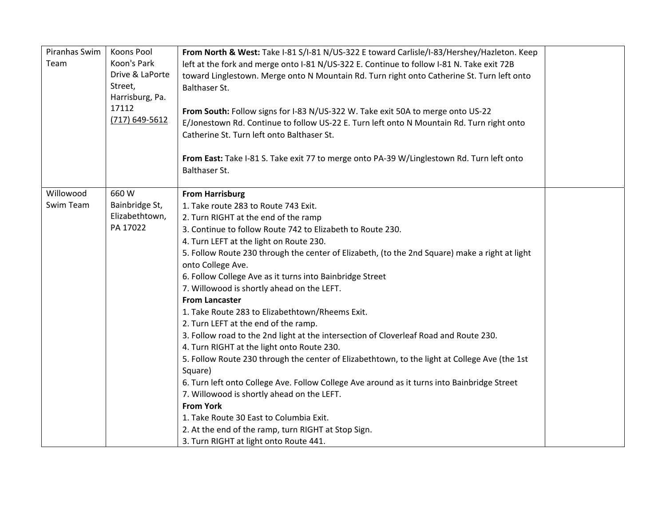| Piranhas Swim<br>Team  | Koons Pool<br>Koon's Park<br>Drive & LaPorte<br>Street,<br>Harrisburg, Pa.<br>17112<br>$(717) 649 - 5612$ | From North & West: Take I-81 S/I-81 N/US-322 E toward Carlisle/I-83/Hershey/Hazleton. Keep<br>left at the fork and merge onto I-81 N/US-322 E. Continue to follow I-81 N. Take exit 72B<br>toward Linglestown. Merge onto N Mountain Rd. Turn right onto Catherine St. Turn left onto<br>Balthaser St.<br>From South: Follow signs for I-83 N/US-322 W. Take exit 50A to merge onto US-22<br>E/Jonestown Rd. Continue to follow US-22 E. Turn left onto N Mountain Rd. Turn right onto<br>Catherine St. Turn left onto Balthaser St.                                                                                                                                                                                                                                                                                                                                                                                                                                                                                                                                                                                                 |  |
|------------------------|-----------------------------------------------------------------------------------------------------------|--------------------------------------------------------------------------------------------------------------------------------------------------------------------------------------------------------------------------------------------------------------------------------------------------------------------------------------------------------------------------------------------------------------------------------------------------------------------------------------------------------------------------------------------------------------------------------------------------------------------------------------------------------------------------------------------------------------------------------------------------------------------------------------------------------------------------------------------------------------------------------------------------------------------------------------------------------------------------------------------------------------------------------------------------------------------------------------------------------------------------------------|--|
|                        |                                                                                                           | From East: Take I-81 S. Take exit 77 to merge onto PA-39 W/Linglestown Rd. Turn left onto<br>Balthaser St.                                                                                                                                                                                                                                                                                                                                                                                                                                                                                                                                                                                                                                                                                                                                                                                                                                                                                                                                                                                                                           |  |
| Willowood<br>Swim Team | 660W<br>Bainbridge St,<br>Elizabethtown,<br>PA 17022                                                      | <b>From Harrisburg</b><br>1. Take route 283 to Route 743 Exit.<br>2. Turn RIGHT at the end of the ramp<br>3. Continue to follow Route 742 to Elizabeth to Route 230.<br>4. Turn LEFT at the light on Route 230.<br>5. Follow Route 230 through the center of Elizabeth, (to the 2nd Square) make a right at light<br>onto College Ave.<br>6. Follow College Ave as it turns into Bainbridge Street<br>7. Willowood is shortly ahead on the LEFT.<br><b>From Lancaster</b><br>1. Take Route 283 to Elizabethtown/Rheems Exit.<br>2. Turn LEFT at the end of the ramp.<br>3. Follow road to the 2nd light at the intersection of Cloverleaf Road and Route 230.<br>4. Turn RIGHT at the light onto Route 230.<br>5. Follow Route 230 through the center of Elizabethtown, to the light at College Ave (the 1st<br>Square)<br>6. Turn left onto College Ave. Follow College Ave around as it turns into Bainbridge Street<br>7. Willowood is shortly ahead on the LEFT.<br><b>From York</b><br>1. Take Route 30 East to Columbia Exit.<br>2. At the end of the ramp, turn RIGHT at Stop Sign.<br>3. Turn RIGHT at light onto Route 441. |  |